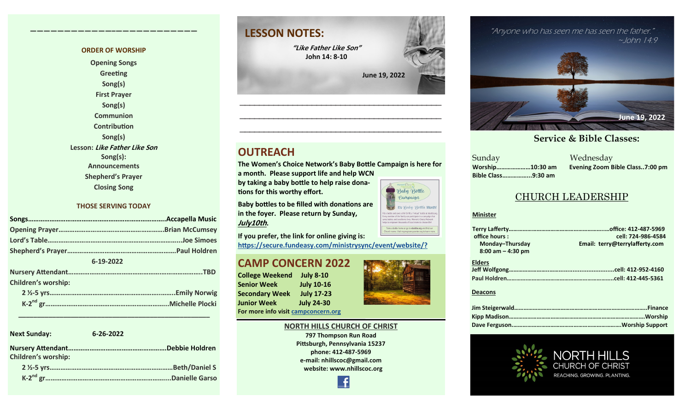#### **ORDER OF WORSHIP**

**————————————–————————————**

**Opening Songs Greeting Song(s) First Prayer Song(s) Communion Contribution Song(s) Lesson: Like Father Like Son Song(s): Announcements Shepherd's Prayer Closing Song**

#### **THOSE SERVING TODAY**

| 6-19-2022                  |  |
|----------------------------|--|
|                            |  |
| <b>Children's worship:</b> |  |
|                            |  |

 **\_\_\_\_\_\_\_\_\_\_\_\_\_\_\_\_\_\_\_\_\_\_\_\_\_\_\_\_\_\_\_\_\_\_\_\_\_\_\_\_\_\_\_\_\_\_\_\_\_\_\_**

| <b>Next Sunday:</b>        | $6 - 26 - 2022$ |
|----------------------------|-----------------|
| <b>Children's worship:</b> |                 |
|                            | Beth/Daniel S   |
|                            |                 |

# **LESSON NOTES:**

**"Like Father Like Son" John 14: 8-10**

 **June 19, 2022**

### **OUTREACH**

**The Women's Choice Network's Baby Bottle Campaign is here for a month. Please support life and help WCN** 

**—————————————————————————————————————————— ——————————————————————————————————————————**

**by taking a baby bottle to help raise donations for this worthy effort.**

**Baby bottles to be filled with donations are in the foyer. Please return by Sunday, July10th.** 

**If you prefer, the link for online giving is: [https://secure.fundeasy.com/ministrysync/event/website/?](https://secure.fundeasy.com/ministrysync/event/website/?m=5675818)**

#### **CAMP CONCERN 2022**

**College Weekend July 8-10 Senior Week July 10-16 Secondary Week July 17-23 Junior Week July 24-30 For more info visit [campconcern.org](http://campconcern.org)**





**797 Thompson Run Road Pittsburgh, Pennsylvania 15237 phone: 412-487-5969 e-mail: nhillscoc@gmail.com website: www.nhillscoc.org** 





#### ible Classes: **Service & Bible Classes: Service & Bible Classes:**

Sunday Wednesday **Bible Class……………...9:30 am**

**Worship…………………10:30 am Evening Zoom Bible Class..7:00 pm**

#### CHURCH LEADERSHIP

#### **Minister**

| office hours:        | cell: 724-986-4584             |  |
|----------------------|--------------------------------|--|
| Monday-Thursday      | Email: terry@terrylafferty.com |  |
| $8:00$ am $-4:30$ pm |                                |  |
| <b>Elders</b>        |                                |  |
|                      |                                |  |
|                      |                                |  |
|                      |                                |  |

#### **Deacons**







It's Baby Bottle Month!